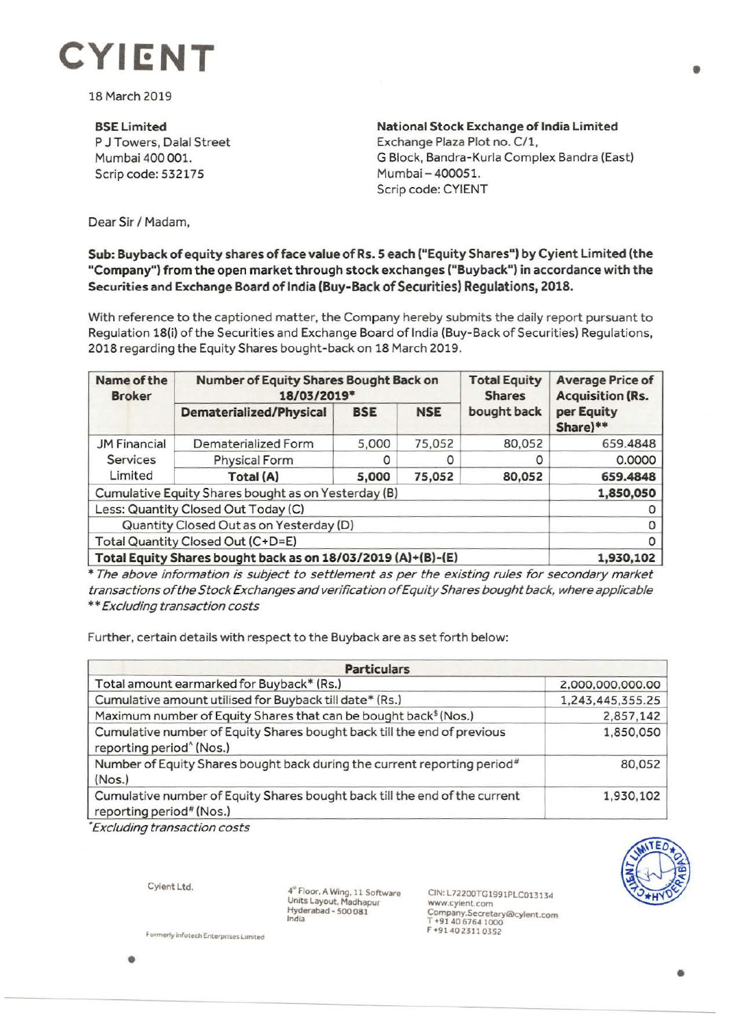

18 March 2019

## **BSELimited**

P J Towers, Dalal Street Mumbai 400 001. Scrip code: 532175

**National Stock Exchange of India Limited**  Exchange Plaza Plot no. C/1, G Block, Bandra-Kurla Complex Bandra (East) Mumbai- 400051. Scrip code: CYIENT

Dear Sir/ Madam,

## **Sub: Buyback of equity shares of face value of Rs. S each ("Equity Shares") by Cyient Limited (the "Company") from the open market through stock exchanges ("Buyback") in accordance with the Securities and Exchange Board of India (Buy-Back of Securities) Regulations, 2018.**

With reference to the captioned matter, the Company hereby submits the daily report pursuant to Regulation 18(i) of the Securities and Exchange Board of India (Buy-Back of Securities) Regulations, 2018 regarding the Equity Shares bought-back on 18 March 2019.

| Name of the<br><b>Broker</b>                                 | Number of Equity Shares Bought Back on<br>18/03/2019* |            |            | <b>Total Equity</b><br><b>Shares</b> | <b>Average Price of</b><br><b>Acquisition (Rs.</b> |
|--------------------------------------------------------------|-------------------------------------------------------|------------|------------|--------------------------------------|----------------------------------------------------|
|                                                              | Dematerialized/Physical                               | <b>BSE</b> | <b>NSE</b> | bought back                          | per Equity<br>Share)**                             |
| <b>JM Financial</b><br><b>Services</b><br>Limited            | Dematerialized Form                                   | 5,000      | 75,052     | 80,052                               | 659.4848                                           |
|                                                              | Physical Form                                         |            |            |                                      | 0.0000                                             |
|                                                              | Total (A)                                             | 5,000      | 75,052     | 80,052                               | 659.4848                                           |
| Cumulative Equity Shares bought as on Yesterday (B)          |                                                       |            |            |                                      | 1,850,050                                          |
| Less: Quantity Closed Out Today (C)                          |                                                       |            |            |                                      |                                                    |
| Quantity Closed Out as on Yesterday (D)                      |                                                       |            |            |                                      | 0                                                  |
| Total Quantity Closed Out (C+D=E)                            |                                                       |            |            |                                      | 0                                                  |
| Total Equity Shares bought back as on 18/03/2019 (A)+(B)-(E) |                                                       |            |            |                                      | 1,930,102                                          |

\* The above information is subject to settlement as per the existing rules for secondary market transactions of the Stock Exchanges and verification of Equity Shares bought back, where applicable \*\* Excluding transaction costs

Further, certain details with respect to the Buyback are as set forth below:

| <b>Particulars</b>                                                                                              |                  |  |  |  |
|-----------------------------------------------------------------------------------------------------------------|------------------|--|--|--|
| Total amount earmarked for Buyback* (Rs.)                                                                       | 2,000,000,000.00 |  |  |  |
| Cumulative amount utilised for Buyback till date* (Rs.)                                                         | 1,243,445,355.25 |  |  |  |
| Maximum number of Equity Shares that can be bought back <sup>\$</sup> (Nos.)                                    | 2,857,142        |  |  |  |
| Cumulative number of Equity Shares bought back till the end of previous<br>reporting period <sup>^</sup> (Nos.) | 1,850,050        |  |  |  |
| Number of Equity Shares bought back during the current reporting period <sup>#</sup><br>(Nos.)                  | 80,052           |  |  |  |
| Cumulative number of Equity Shares bought back till the end of the current<br>reporting period# (Nos.)          | 1,930,102        |  |  |  |

• Excluding transaction costs

Cyient Ltd.

•

4<sup>th</sup> Floor, A Wing, 11 Software Units Layout, Madhapur **Hyderabad-500081**  India

CIN:L72200TG1991PLC013134 www.cy1ent.com Company.Secretary®cyient.com T +9140 6764 1000 F+914023110352

--------

**Formerly infotech Enterprises Limited**